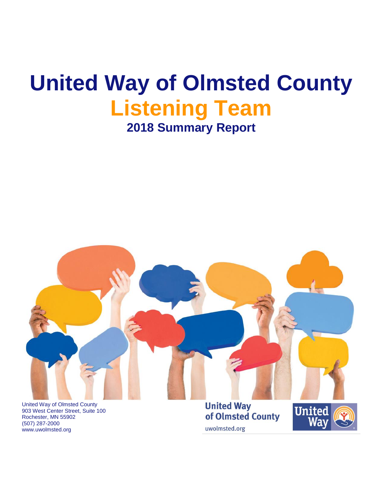# **United Way of Olmsted County Listening Team 2018 Summary Report**



903 West Center Street, Suite 100 Rochester, MN 55902 (507) 287-2000 www.uwolmsted.org

**United Way** of Olmsted County uwolmsted.org

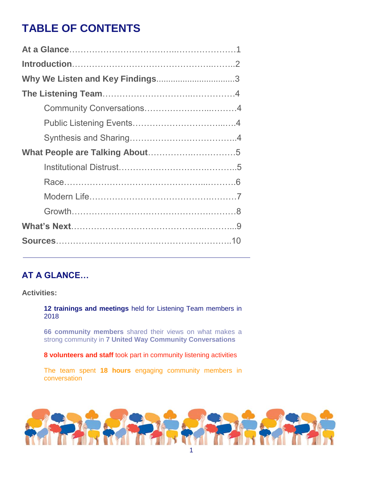## **TABLE OF CONTENTS**

## **AT A GLANCE…**

#### **Activities:**

**12 trainings and meetings** held for Listening Team members in 2018

**66 community members** shared their views on what makes a strong community in **7 United Way Community Conversations**

**8 volunteers and staff** took part in community listening activities

The team spent **18 hours** engaging community members in conversation

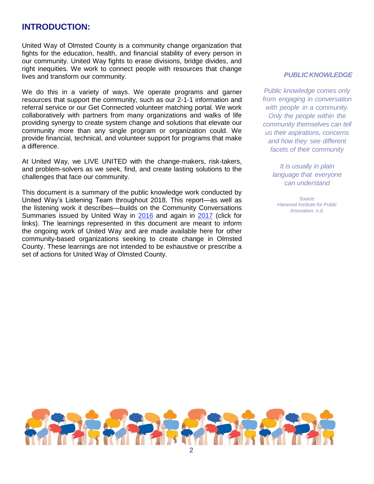### **INTRODUCTION:**

United Way of Olmsted County is a community change organization that fights for the education, health, and financial stability of every person in our community. United Way fights to erase divisions, bridge divides, and right inequities. We work to connect people with resources that change lives and transform our community.

We do this in a variety of ways. We operate programs and garner resources that support the community, such as our 2-1-1 information and referral service or our Get Connected volunteer matching portal. We work collaboratively with partners from many organizations and walks of life providing synergy to create system change and solutions that elevate our community more than any single program or organization could. We provide financial, technical, and volunteer support for programs that make a difference.

At United Way, we LIVE UNITED with the change-makers, risk-takers, and problem-solvers as we seek, find, and create lasting solutions to the challenges that face our community.

This document is a summary of the public knowledge work conducted by United Way's Listening Team throughout 2018. This report—as well as the listening work it describes—builds on the Community Conversations Summaries issued by United Way in [2016](https://www.uwolmsted.org/sites/uwolmsted.org/files/Community%20Conversations%20Summary.pdf) and again in [2017](https://www.uwolmsted.org/sites/uwolmsted.org/files/2017-ListeningTeamSummary_0.pdf) (click for links). The learnings represented in this document are meant to inform the ongoing work of United Way and are made available here for other community-based organizations seeking to create change in Olmsted County. These learnings are not intended to be exhaustive or prescribe a set of actions for United Way of Olmsted County.

#### *PUBLICKNOWLEDGE*

*Public knowledge comes only from engaging in conversation with people in a community. Only the people within the community themselves can tell us their aspirations, concerns and how they see different facets of their community*

*It is usually in plain language that everyone can understand*

*Source: Harwood Institute for Public Innovation, n.d.*

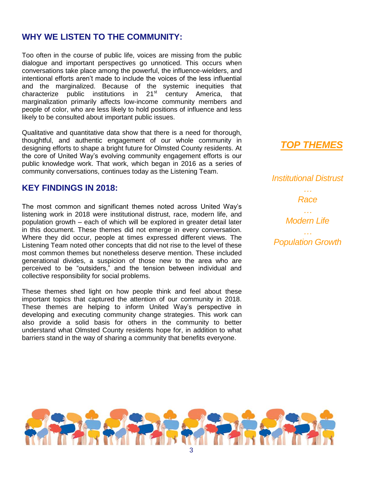## **WHY WE LISTEN TO THE COMMUNITY:**

Too often in the course of public life, voices are missing from the public dialogue and important perspectives go unnoticed. This occurs when conversations take place among the powerful, the influence-wielders, and intentional efforts aren't made to include the voices of the less influential and the marginalized. Because of the systemic inequities that characterize public institutions in  $21<sup>st</sup>$  century America, that marginalization primarily affects low-income community members and people of color, who are less likely to hold positions of influence and less likely to be consulted about important public issues.

Qualitative and quantitative data show that there is a need for thorough, thoughtful, and authentic engagement of our whole community in designing efforts to shape a bright future for Olmsted County residents. At the core of United Way's evolving community engagement efforts is our public knowledge work. That work, which began in 2016 as a series of community conversations, continues today as the Listening Team.

## **KEY FINDINGS IN 2018:**

The most common and significant themes noted across United Way's listening work in 2018 were institutional distrust, race, modern life, and population growth – each of which will be explored in greater detail later in this document. These themes did not emerge in every conversation. Where they did occur, people at times expressed different views. The Listening Team noted other concepts that did not rise to the level of these most common themes but nonetheless deserve mention. These included generational divides, a suspicion of those new to the area who are perceived to be "outsiders," and the tension between individual and collective responsibility for social problems.

These themes shed light on how people think and feel about these important topics that captured the attention of our community in 2018. These themes are helping to inform United Way's perspective in developing and executing community change strategies. This work can also provide a solid basis for others in the community to better understand what Olmsted County residents hope for, in addition to what barriers stand in the way of sharing a community that benefits everyone.

*TOP THEMES*

*Institutional Distrust … Race … Modern Life … Population Growth*

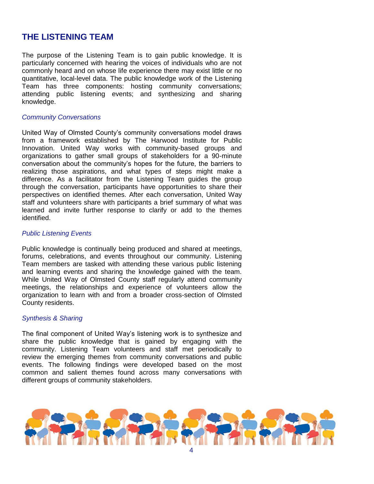## **THE LISTENING TEAM**

The purpose of the Listening Team is to gain public knowledge. It is particularly concerned with hearing the voices of individuals who are not commonly heard and on whose life experience there may exist little or no quantitative, local-level data. The public knowledge work of the Listening Team has three components: hosting community conversations; attending public listening events; and synthesizing and sharing knowledge.

#### *Community Conversations*

United Way of Olmsted County's community conversations model draws from a framework established by The Harwood Institute for Public Innovation. United Way works with community-based groups and organizations to gather small groups of stakeholders for a 90-minute conversation about the community's hopes for the future, the barriers to realizing those aspirations, and what types of steps might make a difference. As a facilitator from the Listening Team guides the group through the conversation, participants have opportunities to share their perspectives on identified themes. After each conversation, United Way staff and volunteers share with participants a brief summary of what was learned and invite further response to clarify or add to the themes identified.

#### *Public Listening Events*

Public knowledge is continually being produced and shared at meetings, forums, celebrations, and events throughout our community. Listening Team members are tasked with attending these various public listening and learning events and sharing the knowledge gained with the team. While United Way of Olmsted County staff regularly attend community meetings, the relationships and experience of volunteers allow the organization to learn with and from a broader cross-section of Olmsted County residents.

#### *Synthesis & Sharing*

The final component of United Way's listening work is to synthesize and share the public knowledge that is gained by engaging with the community. Listening Team volunteers and staff met periodically to review the emerging themes from community conversations and public events. The following findings were developed based on the most common and salient themes found across many conversations with different groups of community stakeholders.

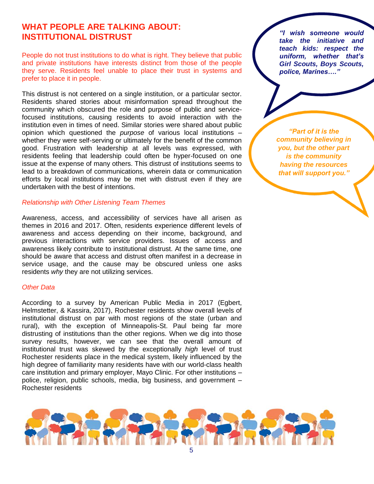## **WHAT PEOPLE ARE TALKING ABOUT: INSTITUTIONAL DISTRUST**

People do not trust institutions to do what is right. They believe that public and private institutions have interests distinct from those of the people they serve. Residents feel unable to place their trust in systems and prefer to place it in people.

This distrust is not centered on a single institution, or a particular sector. Residents shared stories about misinformation spread throughout the community which obscured the role and purpose of public and servicefocused institutions, causing residents to avoid interaction with the institution even in times of need. Similar stories were shared about public opinion which questioned the *purpose* of various local institutions – whether they were self-serving or ultimately for the benefit of the common good. Frustration with leadership at all levels was expressed, with residents feeling that leadership could often be hyper-focused on one issue at the expense of many others. This distrust of institutions seems to lead to a breakdown of communications, wherein data or communication efforts by local institutions may be met with distrust even if they are undertaken with the best of intentions.

#### *Relationship with Other Listening Team Themes*

Awareness, access, and accessibility of services have all arisen as themes in 2016 and 2017. Often, residents experience different levels of awareness and access depending on their income, background, and previous interactions with service providers. Issues of access and awareness likely contribute to institutional distrust. At the same time, one should be aware that access and distrust often manifest in a decrease in service usage, and the cause may be obscured unless one asks residents *why* they are not utilizing services.

#### *Other Data*

According to a survey by American Public Media in 2017 (Egbert, Helmstetter, & Kassira, 2017), Rochester residents show overall levels of institutional distrust on par with most regions of the state (urban and rural), with the exception of Minneapolis-St. Paul being far more distrusting of institutions than the other regions. When we dig into those survey results, however, we can see that the overall amount of institutional trust was skewed by the exceptionally *high* level of trust Rochester residents place in the medical system, likely influenced by the high degree of familiarity many residents have with our world-class health care institution and primary employer, Mayo Clinic. For other institutions – police, religion, public schools, media, big business, and government – Rochester residents

*"I wish someone would take the initiative and teach kids: respect the uniform, whether that's Girl Scouts, Boys Scouts, police, Marines…."*

*"Part of it is the community believing in you, but the other part is the community having the resources that will support you."*

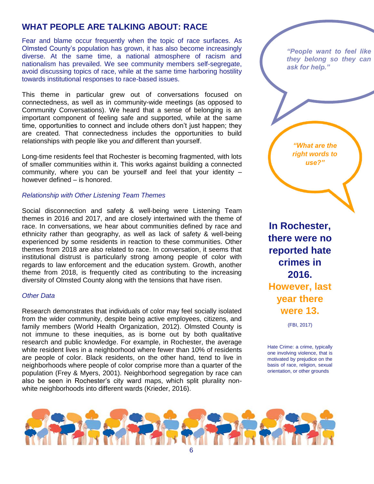## **WHAT PEOPLE ARE TALKING ABOUT: RACE**

Fear and blame occur frequently when the topic of race surfaces. As Olmsted County's population has grown, it has also become increasingly diverse. At the same time, a national atmosphere of racism and nationalism has prevailed. We see community members self-segregate, avoid discussing topics of race, while at the same time harboring hostility towards institutional responses to race-based issues.

This theme in particular grew out of conversations focused on connectedness, as well as in community-wide meetings (as opposed to Community Conversations). We heard that a sense of belonging is an important component of feeling safe and supported, while at the same time, opportunities to connect and include others don't just happen; they are created. That connectedness includes the opportunities to build relationships with people like you *and* different than yourself.

Long-time residents feel that Rochester is becoming fragmented, with lots of smaller communities within it. This works against building a connected community, where you can be yourself and feel that your identity – however defined – is honored.

#### *Relationship with Other Listening Team Themes*

Social disconnection and safety & well-being were Listening Team themes in 2016 and 2017, and are closely intertwined with the theme of race. In conversations, we hear about communities defined by race and ethnicity rather than geography, as well as lack of safety & well-being experienced by some residents in reaction to these communities. Other themes from 2018 are also related to race. In conversation, it seems that institutional distrust is particularly strong among people of color with regards to law enforcement and the education system. Growth, another theme from 2018, is frequently cited as contributing to the increasing diversity of Olmsted County along with the tensions that have risen.

#### *Other Data*

Research demonstrates that individuals of color may feel socially isolated from the wider community, despite being active employees, citizens, and family members (World Health Organization, 2012). Olmsted County is not immune to these inequities, as is borne out by both qualitative research and public knowledge. For example, in Rochester, the average white resident lives in a neighborhood where fewer than 10% of residents are people of color. Black residents, on the other hand, tend to live in neighborhoods where people of color comprise more than a quarter of the population (Frey & Myers, 2001). Neighborhood segregation by race can also be seen in Rochester's city ward maps, which split plurality nonwhite neighborhoods into different wards (Krieder, 2016).

*"People want to feel like they belong so they can ask for help."*

*"What are the right words to use?"*

**In Rochester, there were no reported hate crimes in 2016. However, last year there were 13.**

(FBI, 2017)

Hate Crime: a crime, typically one involving violence, that is motivated by prejudice on the basis of race, religion, sexual orientation, or other grounds

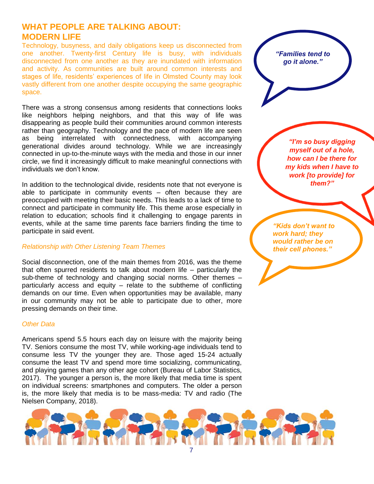## **WHAT PEOPLE ARE TALKING ABOUT: MODERN LIFE**

Technology, busyness, and daily obligations keep us disconnected from one another. Twenty-first Century life is busy, with individuals disconnected from one another as they are inundated with information and activity. As communities are built around common interests and stages of life, residents' experiences of life in Olmsted County may look vastly different from one another despite occupying the same geographic space.

There was a strong consensus among residents that connections looks like neighbors helping neighbors, and that this way of life was disappearing as people build their communities around common interests rather than geography. Technology and the pace of modern life are seen as being interrelated with connectedness, with accompanying generational divides around technology. While we are increasingly connected in up-to-the-minute ways with the media and those in our inner circle, we find it increasingly difficult to make meaningful connections with individuals we don't know.

In addition to the technological divide, residents note that not everyone is able to participate in community events – often because they are preoccupied with meeting their basic needs. This leads to a lack of time to connect and participate in community life. This theme arose especially in relation to education; schools find it challenging to engage parents in events, while at the same time parents face barriers finding the time to participate in said event.

#### *Relationship with Other Listening Team Themes*

Social disconnection, one of the main themes from 2016, was the theme that often spurred residents to talk about modern life – particularly the sub-theme of technology and changing social norms. Other themes – particularly access and equity – relate to the subtheme of conflicting demands on our time. Even when opportunities may be available, many in our community may not be able to participate due to other, more pressing demands on their time.

#### *Other Data*

Americans spend 5.5 hours each day on leisure with the majority being TV. Seniors consume the most TV, while working-age individuals tend to consume less TV the younger they are. Those aged 15-24 actually consume the least TV and spend more time socializing, communicating, and playing games than any other age cohort (Bureau of Labor Statistics, 2017). The younger a person is, the more likely that media time is spent on individual screens: smartphones and computers. The older a person is, the more likely that media is to be mass-media: TV and radio (The Nielsen Company, 2018).



*"I'm so busy digging myself out of a hole, how can I be there for my kids when I have to work [to provide] for them?"*

*"Kids don't want to work hard; they would rather be on their cell phones."*

*"Families tend to go it alone."*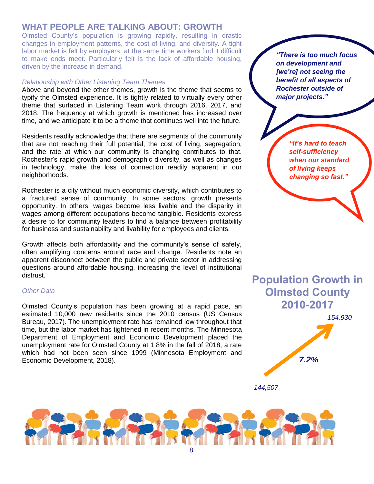## **WHAT PEOPLE ARE TALKING ABOUT: GROWTH**

Olmsted County's population is growing rapidly, resulting in drastic changes in employment patterns, the cost of living, and diversity. A tight labor market is felt by employers, at the same time workers find it difficult to make ends meet. Particularly felt is the lack of affordable housing, driven by the increase in demand.

#### *Relationship with Other Listening Team Themes*

Above and beyond the other themes, growth is the theme that seems to typify the Olmsted experience. It is tightly related to virtually every other theme that surfaced in Listening Team work through 2016, 2017, and 2018. The frequency at which growth is mentioned has increased over time, and we anticipate it to be a theme that continues well into the future.

Residents readily acknowledge that there are segments of the community that are not reaching their full potential; the cost of living, segregation, and the rate at which our community is changing contributes to that. Rochester's rapid growth and demographic diversity, as well as changes in technology, make the loss of connection readily apparent in our neighborhoods.

Rochester is a city without much economic diversity, which contributes to a fractured sense of community. In some sectors, growth presents opportunity. In others, wages become less livable and the disparity in wages among different occupations become tangible. Residents express a desire to for community leaders to find a balance between profitability for business and sustainability and livability for employees and clients.

Growth affects both affordability and the community's sense of safety, often amplifying concerns around race and change. Residents note an apparent disconnect between the public and private sector in addressing questions around affordable housing, increasing the level of institutional distrust.

#### *Other Data*

Olmsted County's population has been growing at a rapid pace, an estimated 10,000 new residents since the 2010 census (US Census Bureau, 2017). The unemployment rate has remained low throughout that time, but the labor market has tightened in recent months. The Minnesota Department of Employment and Economic Development placed the unemployment rate for Olmsted County at 1.8% in the fall of 2018, a rate which had not been seen since 1999 (Minnesota Employment and Economic Development, 2018).

*"There is too much focus on development and [we're] not seeing the benefit of all aspects of Rochester outside of major projects."*

> *"It's hard to teach self-sufficiency when our standard of living keeps changing so fast."*

## **Population Growth in Olmsted County 2010-2017**



*144,507*

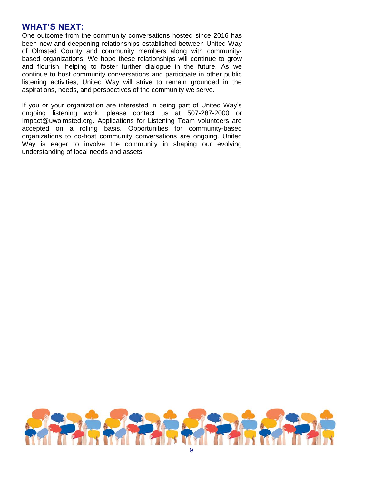## **WHAT'S NEXT:**

One outcome from the community conversations hosted since 2016 has been new and deepening relationships established between United Way of Olmsted County and community members along with communitybased organizations. We hope these relationships will continue to grow and flourish, helping to foster further dialogue in the future. As we continue to host community conversations and participate in other public listening activities, United Way will strive to remain grounded in the aspirations, needs, and perspectives of the community we serve.

If you or your organization are interested in being part of United Way's ongoing listening work, please contact us at 507-287-2000 or Impact@uwolmsted.org. Applications for Listening Team volunteers are accepted on a rolling basis. Opportunities for community-based organizations to co-host community conversations are ongoing. United Way is eager to involve the community in shaping our evolving understanding of local needs and assets.